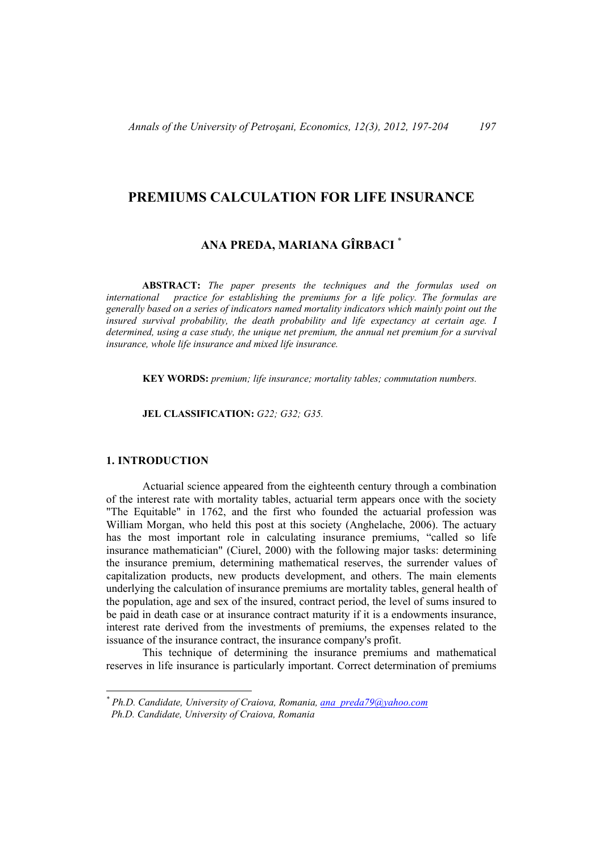## **PREMIUMS CALCULATION FOR LIFE INSURANCE**

# **ANA PREDA, MARIANA GÎRBACI** \*

**ABSTRACT:** *The paper presents the techniques and the formulas used on international practice for establishing the premiums for a life policy. The formulas are generally based on a series of indicators named mortality indicators which mainly point out the insured survival probability, the death probability and life expectancy at certain age. I determined, using a case study, the unique net premium, the annual net premium for a survival insurance, whole life insurance and mixed life insurance.* 

**KEY WORDS:** *premium; life insurance; mortality tables; commutation numbers.*

**JEL CLASSIFICATION:** *G22; G32; G35.*

### **1. INTRODUCTION**

 $\overline{a}$ 

Actuarial science appeared from the eighteenth century through a combination of the interest rate with mortality tables, actuarial term appears once with the society "The Equitable" in 1762, and the first who founded the actuarial profession was William Morgan, who held this post at this society (Anghelache, 2006). The actuary has the most important role in calculating insurance premiums, "called so life insurance mathematician" (Ciurel, 2000) with the following major tasks: determining the insurance premium, determining mathematical reserves, the surrender values of capitalization products, new products development, and others. The main elements underlying the calculation of insurance premiums are mortality tables, general health of the population, age and sex of the insured, contract period, the level of sums insured to be paid in death case or at insurance contract maturity if it is a endowments insurance, interest rate derived from the investments of premiums, the expenses related to the issuance of the insurance contract, the insurance company's profit.

This technique of determining the insurance premiums and mathematical reserves in life insurance is particularly important. Correct determination of premiums

*<sup>\*</sup> Ph.D. Candidate, University of Craiova, Romania, ana\_preda79@yahoo.com Ph.D. Candidate, University of Craiova, Romania*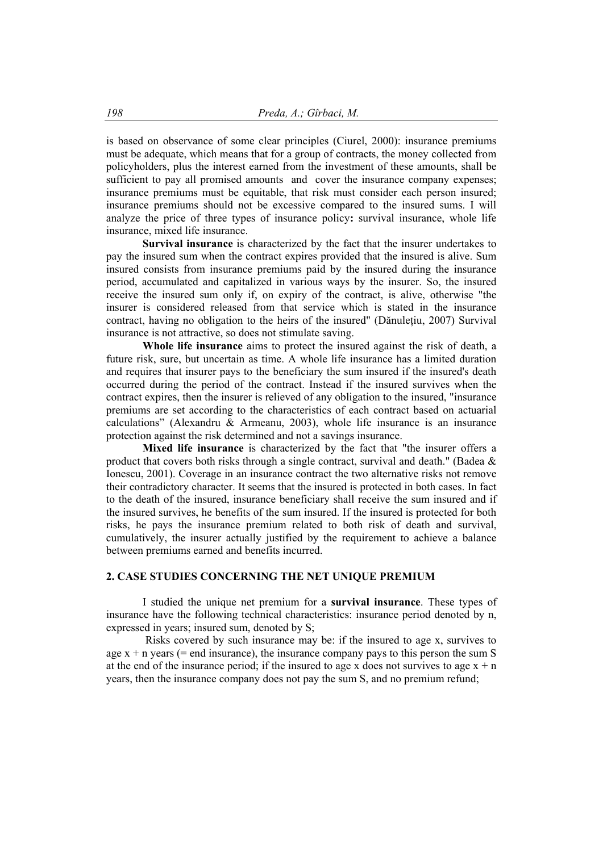is based on observance of some clear principles (Ciurel, 2000): insurance premiums must be adequate, which means that for a group of contracts, the money collected from policyholders, plus the interest earned from the investment of these amounts, shall be sufficient to pay all promised amounts and cover the insurance company expenses; insurance premiums must be equitable, that risk must consider each person insured; insurance premiums should not be excessive compared to the insured sums. I will analyze the price of three types of insurance policy**:** survival insurance, whole life insurance, mixed life insurance.

**Survival insurance** is characterized by the fact that the insurer undertakes to pay the insured sum when the contract expires provided that the insured is alive. Sum insured consists from insurance premiums paid by the insured during the insurance period, accumulated and capitalized in various ways by the insurer. So, the insured receive the insured sum only if, on expiry of the contract, is alive, otherwise "the insurer is considered released from that service which is stated in the insurance contract, having no obligation to the heirs of the insured" (Dănuletiu, 2007) Survival insurance is not attractive, so does not stimulate saving.

**Whole life insurance** aims to protect the insured against the risk of death, a future risk, sure, but uncertain as time. A whole life insurance has a limited duration and requires that insurer pays to the beneficiary the sum insured if the insured's death occurred during the period of the contract. Instead if the insured survives when the contract expires, then the insurer is relieved of any obligation to the insured, "insurance premiums are set according to the characteristics of each contract based on actuarial calculations" (Alexandru & Armeanu, 2003), whole life insurance is an insurance protection against the risk determined and not a savings insurance.

**Mixed life insurance** is characterized by the fact that "the insurer offers a product that covers both risks through a single contract, survival and death." (Badea & Ionescu, 2001). Coverage in an insurance contract the two alternative risks not remove their contradictory character. It seems that the insured is protected in both cases. In fact to the death of the insured, insurance beneficiary shall receive the sum insured and if the insured survives, he benefits of the sum insured. If the insured is protected for both risks, he pays the insurance premium related to both risk of death and survival, cumulatively, the insurer actually justified by the requirement to achieve a balance between premiums earned and benefits incurred.

#### **2. CASE STUDIES CONCERNING THE NET UNIQUE PREMIUM**

I studied the unique net premium for a **survival insurance**. These types of insurance have the following technical characteristics: insurance period denoted by n, expressed in years; insured sum, denoted by S;

 Risks covered by such insurance may be: if the insured to age x, survives to age  $x + n$  vears (= end insurance), the insurance company pays to this person the sum S at the end of the insurance period; if the insured to age x does not survives to age  $x + n$ years, then the insurance company does not pay the sum S, and no premium refund;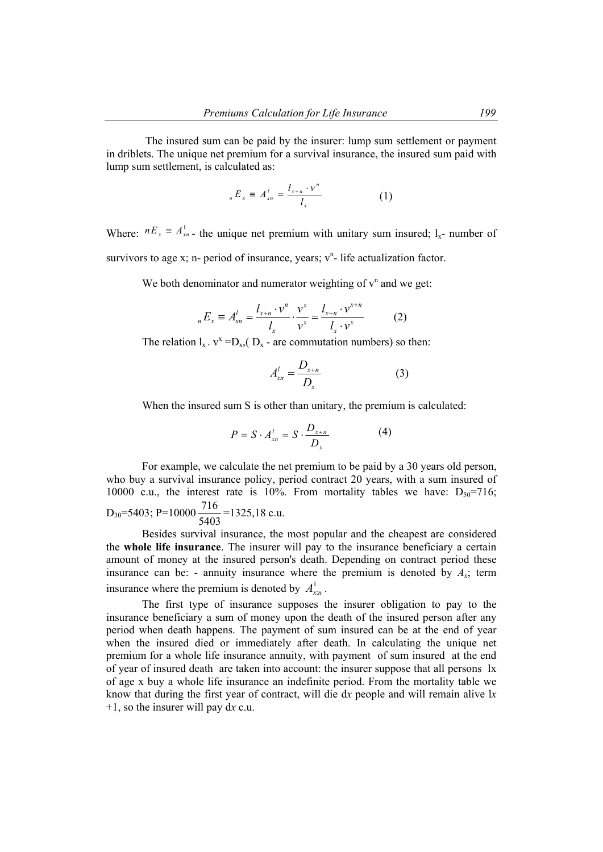The insured sum can be paid by the insurer: lump sum settlement or payment in driblets. The unique net premium for a survival insurance, the insured sum paid with lump sum settlement, is calculated as:

$$
{}_{n}E_{x} \equiv A_{xn}^{l} = \frac{l_{x+n} \cdot v^{n}}{l_{x}}
$$
 (1)

Where:  $nE_x = A_{xn}^1$  the unique net premium with unitary sum insured;  $l_x$ - number of survivors to age x; n- period of insurance, years;  $v<sup>n</sup>$ - life actualization factor.

We both denominator and numerator weighting of  $v<sup>n</sup>$  and we get:

$$
{}_{n}E_{x} \equiv A_{xn}^{l} = \frac{l_{x+n} \cdot v^{n}}{l_{x}} \cdot \frac{v^{x}}{v^{x}} = \frac{l_{x+n} \cdot v^{x+n}}{l_{x} \cdot v^{x}}
$$
(2)

The relation  $l_x$ .  $v^x = D_{x}$ ,  $(D_x - are commutation numbers)$  so then:

$$
A_{xn}^l = \frac{D_{x+n}}{D_x} \tag{3}
$$

When the insured sum S is other than unitary, the premium is calculated:

$$
P = S \cdot A_{xn}^l = S \cdot \frac{D_{x+n}}{D_x} \tag{4}
$$

For example, we calculate the net premium to be paid by a 30 years old person, who buy a survival insurance policy, period contract 20 years, with a sum insured of 10000 c.u., the interest rate is 10%. From mortality tables we have:  $D_{50}=716$ ; D<sub>30</sub>=5403; P=10000 $\frac{716}{5403}$ =1325,18 c.u.

Besides survival insurance, the most popular and the cheapest are considered the **whole life insurance**. The insurer will pay to the insurance beneficiary a certain amount of money at the insured person's death. Depending on contract period these insurance can be: - annuity insurance where the premium is denoted by  $A_x$ ; term insurance where the premium is denoted by  $A_{x_n}^1$ .

The first type of insurance supposes the insurer obligation to pay to the insurance beneficiary a sum of money upon the death of the insured person after any period when death happens. The payment of sum insured can be at the end of year when the insured died or immediately after death. In calculating the unique net premium for a whole life insurance annuity, with payment of sum insured at the end of year of insured death are taken into account: the insurer suppose that all persons lx of age x buy a whole life insurance an indefinite period. From the mortality table we know that during the first year of contract, will die d*x* people and will remain alive l*x* +1, so the insurer will pay d*x* c.u.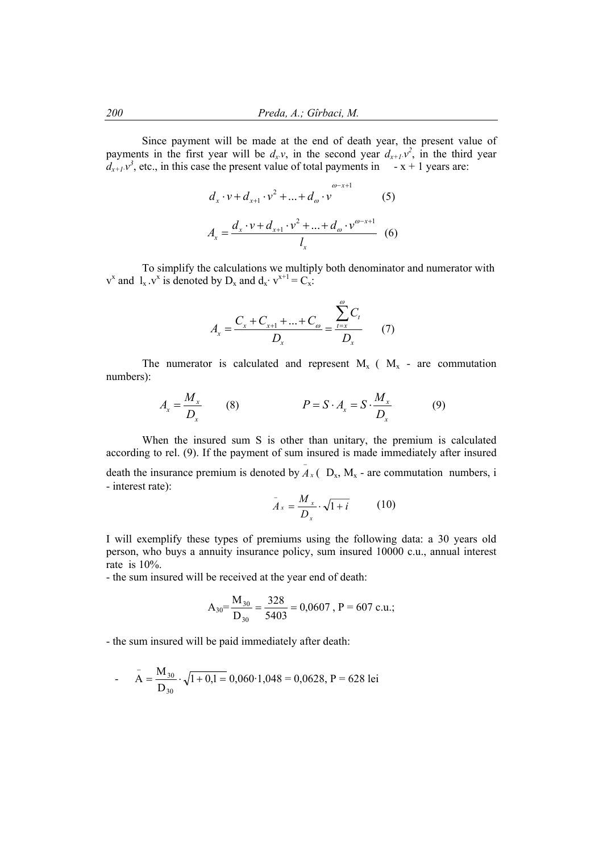Since payment will be made at the end of death year, the present value of payments in the first year will be  $d_x v$ , in the second year  $d_{x+1} v^2$ , in the third year  $d_{x+1}v^3$ , etc., in this case the present value of total payments in  $-x+1$  years are:

$$
d_x \cdot v + d_{x+1} \cdot v^2 + \dots + d_{\omega} \cdot v^{\omega - x+1}
$$
 (5)  

$$
A_x = \frac{d_x \cdot v + d_{x+1} \cdot v^2 + \dots + d_{\omega} \cdot v^{\omega - x+1}}{l_x}
$$
 (6)

 To simplify the calculations we multiply both denominator and numerator with  $v^x$  and  $l_x \, v^x$  is denoted by  $D_x$  and  $d_x \cdot v^{x+1} = C_x$ .

$$
A_x = \frac{C_x + C_{x+1} + \dots + C_{\omega}}{D_x} = \frac{\sum_{t=x}^{\omega} C_t}{D_x}
$$
 (7)

The numerator is calculated and represent  $M_x$  ( $M_x$  - are commutation numbers):

$$
A_x = \frac{M_x}{D_x} \qquad (8) \qquad P = S \cdot A_x = S \cdot \frac{M_x}{D_x} \qquad (9)
$$

 When the insured sum S is other than unitary, the premium is calculated according to rel. (9). If the payment of sum insured is made immediately after insured death the insurance premium is denoted by  $\overline{A}_x$  (  $D_x$ ,  $M_x$  - are commutation numbers, i - interest rate):

$$
\bar{A}_x = \frac{M_x}{D_x} \cdot \sqrt{1+i} \tag{10}
$$

I will exemplify these types of premiums using the following data: a 30 years old person, who buys a annuity insurance policy, sum insured 10000 c.u., annual interest rate is 10%.

- the sum insured will be received at the year end of death:

$$
A_{30} = \frac{M_{30}}{D_{30}} = \frac{328}{5403} = 0,0607, P = 607 \text{ c.u.};
$$

- the sum insured will be paid immediately after death:

- 
$$
\bar{A} = \frac{M_{30}}{D_{30}} \cdot \sqrt{1 + 0.1} = 0.060 \cdot 1.048 = 0.0628
$$
, P = 628 lei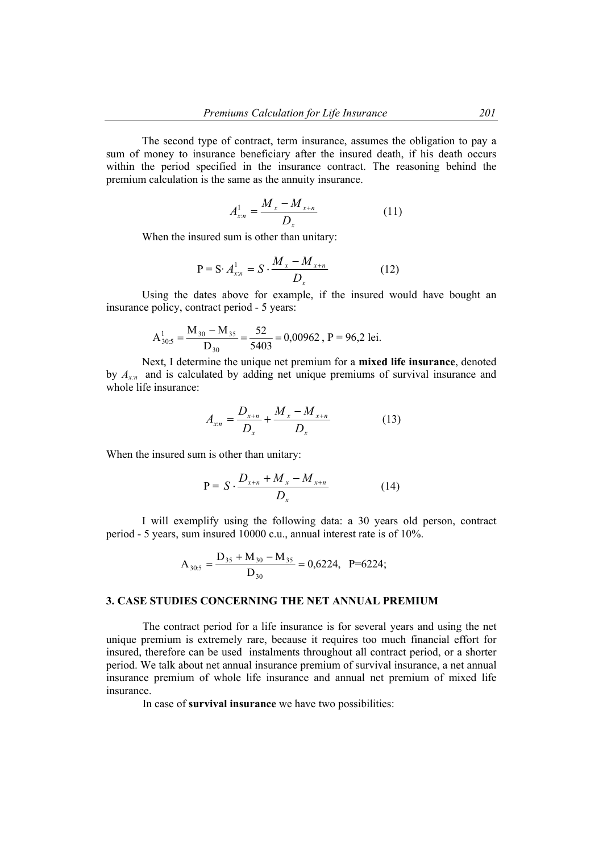The second type of contract, term insurance, assumes the obligation to pay a sum of money to insurance beneficiary after the insured death, if his death occurs within the period specified in the insurance contract. The reasoning behind the premium calculation is the same as the annuity insurance.

$$
A_{xn}^1 = \frac{M_x - M_{x+n}}{D_x}
$$
 (11)

When the insured sum is other than unitary:

$$
P = S \cdot A_{x:n}^{1} = S \cdot \frac{M_{x} - M_{x+n}}{D_{x}}
$$
 (12)

Using the dates above for example, if the insured would have bought an insurance policy, contract period - 5 years:

$$
A_{30:5}^{1} = \frac{M_{30} - M_{35}}{D_{30}} = \frac{52}{5403} = 0,00962, P = 96,2 \text{ lei.}
$$

Next, I determine the unique net premium for a **mixed life insurance**, denoted by  $A_{x,n}$  and is calculated by adding net unique premiums of survival insurance and whole life insurance:

$$
A_{x:n} = \frac{D_{x+n}}{D_x} + \frac{M_x - M_{x+n}}{D_x}
$$
 (13)

When the insured sum is other than unitary:

$$
P = S \cdot \frac{D_{x+n} + M_x - M_{x+n}}{D_x} \tag{14}
$$

I will exemplify using the following data: a 30 years old person, contract period - 5 years, sum insured 10000 c.u., annual interest rate is of 10%.

$$
A_{30:5} = \frac{D_{35} + M_{30} - M_{35}}{D_{30}} = 0,6224, \quad P = 6224;
$$

#### **3. CASE STUDIES CONCERNING THE NET ANNUAL PREMIUM**

The contract period for a life insurance is for several years and using the net unique premium is extremely rare, because it requires too much financial effort for insured, therefore can be used instalments throughout all contract period, or a shorter period. We talk about net annual insurance premium of survival insurance, a net annual insurance premium of whole life insurance and annual net premium of mixed life insurance.

In case of **survival insurance** we have two possibilities: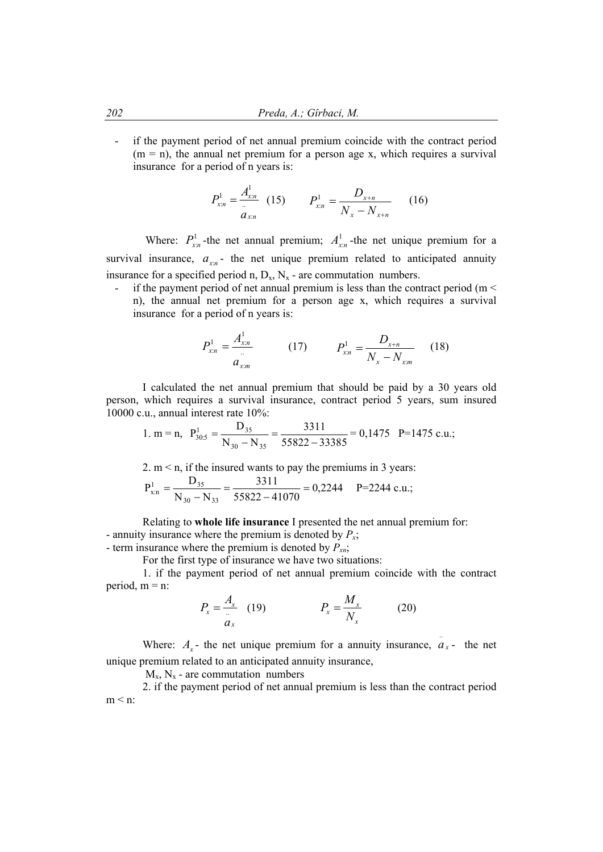- if the payment period of net annual premium coincide with the contract period  $(m = n)$ , the annual net premium for a person age x, which requires a survival insurance for a period of n years is:

$$
P_{x:n}^1 = \frac{A_{x:n}^1}{a_{x:n}} \quad (15) \qquad P_{x:n}^1 = \frac{D_{x+n}}{N_x - N_{x+n}} \qquad (16)
$$

Where:  $P_{x_n}^1$ -the net annual premium;  $A_{x_n}^1$ -the net unique premium for a survival insurance,  $a_{x_n}$ - the net unique premium related to anticipated annuity insurance for a specified period n,  $D_x$ ,  $N_x$  - are commutation numbers.

- if the payment period of net annual premium is less than the contract period ( $m <$ n), the annual net premium for a person age x, which requires a survival insurance for a period of n years is:

$$
P_{x,n}^1 = \frac{A_{x,n}^1}{a_{x,m}} \qquad (17) \qquad P_{x,n}^1 = \frac{D_{x+n}}{N_x - N_{x,m}} \qquad (18)
$$

I calculated the net annual premium that should be paid by a 30 years old person, which requires a survival insurance, contract period 5 years, sum insured 10000 c.u., annual interest rate 10%:

1. m = n, 
$$
P_{30.5}^1 = \frac{D_{35}}{N_{30} - N_{35}} = \frac{3311}{55822 - 33385} = 0,1475 \text{ P} = 1475 \text{ c.u.};
$$

2. m < n, if the insured wants to pay the premiums in 3 years:  
\n
$$
P_{x:n}^1 = \frac{D_{35}}{N_{30} - N_{33}} = \frac{3311}{55822 - 41070} = 0,2244 \quad P = 2244 \text{ c.u.};
$$

Relating to **whole life insurance** I presented the net annual premium for: - annuity insurance where the premium is denoted by  $P_x$ ;

- term insurance where the premium is denoted by  $P_{n}$ ;

For the first type of insurance we have two situations:

1. if the payment period of net annual premium coincide with the contract period,  $m = n$ :

$$
P_x = \frac{A_x}{a_x} \quad (19) \qquad P_x = \frac{M_x}{N_x} \qquad (20)
$$

..

Where:  $A_x$ - the net unique premium for a annuity insurance,  $a_x$ - the net unique premium related to an anticipated annuity insurance,

 $M_{v}$ ,  $N_{v}$  - are commutation numbers

2. if the payment period of net annual premium is less than the contract period  $m < n$ :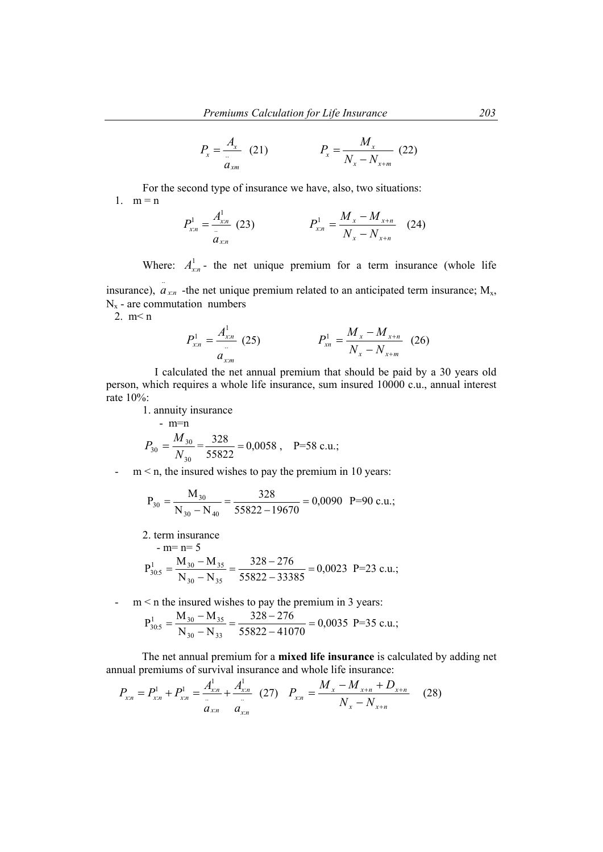$$
P_x = \frac{A_x}{a_{xm}} \quad (21) \qquad \qquad P_x = \frac{M_x}{N_x - N_{x+m}} \quad (22)
$$

For the second type of insurance we have, also, two situations: 1.  $m = n$ 

$$
P_{x:n}^1 = \frac{A_{x:n}^1}{a_{x:n}} \tag{23}
$$
\n
$$
P_{x:n}^1 = \frac{M_x - M_{x+n}}{N_x - N_{x+n}} \tag{24}
$$

Where:  $A_{r,n}^1$ - the net unique premium for a term insurance (whole life insurance),  $a_{x,n}$  -the net unique premium related to an anticipated term insurance;  $M_{x}$ , ..

 $N_x$  - are commutation numbers

2. m< n

$$
P_{x,n}^1 = \frac{A_{x,n}^1}{a_{x,m}} \tag{25} \qquad \qquad P_{x,n}^1 = \frac{M_x - M_{x+n}}{N_x - N_{x+m}} \tag{26}
$$

 I calculated the net annual premium that should be paid by a 30 years old person, which requires a whole life insurance, sum insured 10000 c.u., annual interest rate 10%:

1. annuity insurance

- m=n  
\n
$$
P_{30} = \frac{M_{30}}{N_{30}} = \frac{328}{55822} = 0,0058, \quad P=58 \text{ c.u.};
$$

-  $m < n$ , the insured wishes to pay the premium in 10 years:

$$
P_{30} = \frac{M_{30}}{N_{30} - N_{40}} = \frac{328}{55822 - 19670} = 0,0090 \text{ P=90 c.u.};
$$

2. term insurance  $-m=n=5$  $=\frac{M_{30}-M_{35}}{N_{30}-N_{35}}=\frac{328-276}{55822-33385}=$  $N_{30} - N$  $P_{30.5}^1 = \frac{M_{30} - M}{N_s}$  $30 - 1935$  $\frac{1}{30.5} = \frac{M_{30} - M_{35}}{N} = \frac{328 - 270}{55822 - 32395} = 0,0023$  P=23 c.u.;

- m < n the insured wishes to pay the premium in 3 years:

$$
P_{30.5}^{1} = \frac{M_{30} - M_{35}}{N_{30} - N_{33}} = \frac{328 - 276}{55822 - 41070} = 0,0035 \text{ P=35 c.u.};
$$

The net annual premium for a **mixed life insurance** is calculated by adding net annual premiums of survival insurance and whole life insurance:

$$
P_{x:n} = P_{x:n}^1 + P_{x:n}^1 = \frac{A_{x:n}^1}{a_{x:n}} + \frac{A_{x:n}^1}{a_{x:n}} \quad (27) \quad P_{x:n} = \frac{M_x - M_{x+n} + D_{x+n}}{N_x - N_{x+n}} \quad (28)
$$